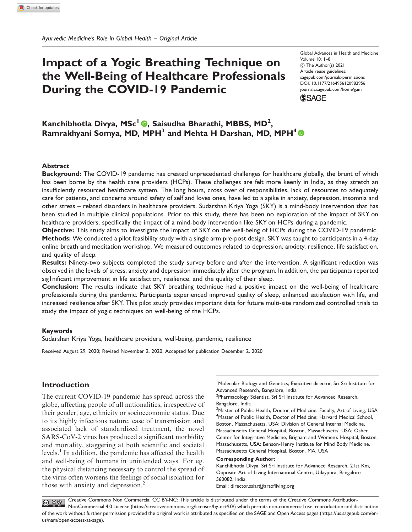# Impact of a Yogic Breathing Technique on the Well-Being of Healthcare Professionals During the COVID-19 Pandemic

Global Advances in Health and Medicine Volume 10: 1–8 ! The Author(s) 2021 Article reuse guidelines: [sagepub.com/journals-permissions](http://us.sagepub.com/en-us/journals-permissions) [DOI: 10.1177/2164956120982956](http://dx.doi.org/10.1177/2164956120982956) <journals.sagepub.com/home/gam> **SSAGE** 

Kanchibhotla Divya, MSc<sup>l</sup> ®, Saisudha Bharathi, MBBS, MD<sup>2</sup>, Ramrakhyani Somya, MD, MPH<sup>3</sup> and Mehta H Darshan, MD, MPH<sup>4</sup>  $\odot$ 

#### Abstract

Background: The COVID-19 pandemic has created unprecedented challenges for healthcare globally, the brunt of which has been borne by the health care providers (HCPs). These challenges are felt more keenly in India, as they stretch an insufficiently resourced healthcare system. The long hours, cross over of responsibilities, lack of resources to adequately care for patients, and concerns around safety of self and loves ones, have led to a spike in anxiety, depression, insomnia and other stress – related disorders in healthcare providers. Sudarshan Kriya Yoga (SKY) is a mind-body intervention that has been studied in multiple clinical populations. Prior to this study, there has been no exploration of the impact of SKY on healthcare providers, specifically the impact of a mind-body intervention like SKY on HCPs during a pandemic.

Objective: This study aims to investigate the impact of SKY on the well-being of HCPs during the COVID-19 pandemic. Methods: We conducted a pilot feasibility study with a single arm pre-post design. SKY was taught to participants in a 4-day online breath and meditation workshop. We measured outcomes related to depression, anxiety, resilience, life satisfaction, and quality of sleep.

Results: Ninety-two subjects completed the study survey before and after the intervention. A significant reduction was observed in the levels of stress, anxiety and depression immediately after the program. In addition, the participants reported sig1 nificant improvement in life satisfaction, resilience, and the quality of their sleep.

Conclusion: The results indicate that SKY breathing technique had a positive impact on the well-being of healthcare professionals during the pandemic. Participants experienced improved quality of sleep, enhanced satisfaction with life, and increased resilience after SKY. This pilot study provides important data for future multi-site randomized controlled trials to study the impact of yogic techniques on well-being of the HCPs.

#### Keywords

Sudarshan Kriya Yoga, healthcare providers, well-being, pandemic, resilience

Received August 29, 2020; Revised November 2, 2020. Accepted for publication December 2, 2020

# Introduction

The current COVID-19 pandemic has spread across the globe, affecting people of all nationalities, irrespective of their gender, age, ethnicity or socioeconomic status. Due to its highly infectious nature, ease of transmission and associated lack of standardized treatment, the novel SARS-CoV-2 virus has produced a significant morbidity and mortality, staggering at both scientific and societal levels. $<sup>1</sup>$  In addition, the pandemic has affected the health</sup> and well-being of humans in unintended ways. For eg. the physical distancing necessary to control the spread of the virus often worsens the feelings of social isolation for those with anxiety and depression.<sup>2</sup>

<sup>1</sup>Molecular Biology and Genetics; Executive director, Sri Sri Institute for Advanced Research, Bangalore, India

<sup>2</sup>Pharmacology Scientist, Sri Sri Institute for Advanced Research, Bangalore, India

<sup>3</sup>Master of Public Health, Doctor of Medicine; Faculty, Art of Living, USA <sup>4</sup>Master of Public Health, Doctor of Medicine; Harvard Medical School, Boston, Massachusetts, USA; Division of General Internal Medicine, Massachusetts General Hospital, Boston, Massachusetts, USA; Osher Center for Integrative Medicine, Brigham and Women's Hospital, Boston, Massachusetts, USA; Benson-Henry Institute for Mind Body Medicine, Massachusetts General Hospital, Boston, MA, USA

#### Corresponding Author:

Kanchibhotla Divya, Sri Sri Institute for Advanced Research, 21st Km, Opposite Art of Living International Centre, Udaypura, Bangalore 560082, India. Email: [director.ssiar@artofliving.org](mailto:director.ssiar@artofliving.org)

Creative Commons Non Commercial CC BY-NC: This article is distributed under the terms of the Creative Commons Attribution- $\bigodot \bigodot \limits_{w} \bigodot \limits_{w}$ NonCommercial 4.0 License (https://creativecommons.org/licenses/by-nc/4.0/) which permits non-commercial use, reproduction and distribution of the work without further permission provided the original work is attributed as specified on the SAGE and Open Access pages (https://us.sagepub.com/enus/nam/open-access-at-sage).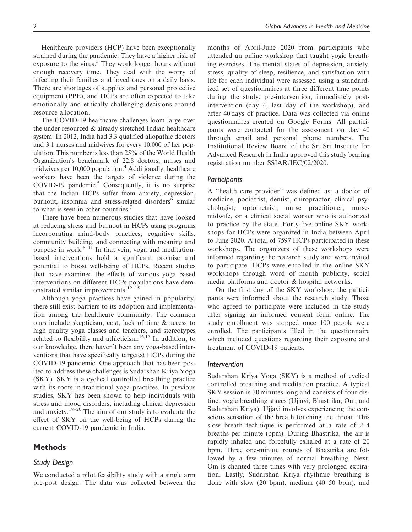Healthcare providers (HCP) have been exceptionally strained during the pandemic. They have a higher risk of exposure to the virus.<sup>3</sup> They work longer hours without enough recovery time. They deal with the worry of infecting their families and loved ones on a daily basis. There are shortages of supplies and personal protective equipment (PPE), and HCPs are often expected to take emotionally and ethically challenging decisions around resource allocation.

The COVID-19 healthcare challenges loom large over the under resourced  $\&$  already stretched Indian healthcare system. In 2012, India had 3.3 qualified allopathic doctors and 3.1 nurses and midwives for every 10,000 of her population. This number is less than 25% of the World Health Organization's benchmark of 22.8 doctors, nurses and midwives per 10,000 population.<sup>4</sup> Additionally, healthcare workers have been the targets of violence during the COVID-19 pandemic. $5$  Consequently, it is no surprise that the Indian HCPs suffer from anxiety, depression, burnout, insomnia and stress-related disorders<sup>6</sup> similar to what is seen in other countries.<sup>7</sup>

There have been numerous studies that have looked at reducing stress and burnout in HCPs using programs incorporating mind-body practices, cognitive skills, community building, and connecting with meaning and purpose in work. $8-\bar{1}$  In that vein, yoga and meditationbased interventions hold a significant promise and potential to boost well-being of HCPs. Recent studies that have examined the effects of various yoga based interventions on different HCPs populations have demonstrated similar improvements. $12-15$ 

Although yoga practices have gained in popularity, there still exist barriers to its adoption and implementation among the healthcare community. The common ones include skepticism, cost, lack of time & access to high quality yoga classes and teachers, and stereotypes related to flexibility and athleticism.16,17 In addition, to our knowledge, there haven't been any yoga-based interventions that have specifically targeted HCPs during the COVID-19 pandemic. One approach that has been posited to address these challenges is Sudarshan Kriya Yoga (SKY). SKY is a cyclical controlled breathing practice with its roots in traditional yoga practices. In previous studies, SKY has been shown to help individuals with stress and mood disorders, including clinical depression and anxiety. $18-20$  The aim of our study is to evaluate the effect of SKY on the well-being of HCPs during the current COVID-19 pandemic in India.

## **Methods**

## Study Design

We conducted a pilot feasibility study with a single arm pre-post design. The data was collected between the months of April-June 2020 from participants who attended an online workshop that taught yogic breathing exercises. The mental states of depression, anxiety, stress, quality of sleep, resilience, and satisfaction with life for each individual were assessed using a standardized set of questionnaires at three different time points during the study: pre-intervention, immediately postintervention (day 4, last day of the workshop), and after 40 days of practice. Data was collected via online questionnaires created on Google Forms. All participants were contacted for the assessment on day 40 through email and personal phone numbers. The Institutional Review Board of the Sri Sri Institute for Advanced Research in India approved this study bearing registration number SSIAR/IEC/02/2020.

#### Participants

A "health care provider" was defined as: a doctor of medicine, podiatrist, dentist, chiropractor, clinical psychologist, optometrist, nurse practitioner, nursemidwife, or a clinical social worker who is authorized to practice by the state. Forty-five online SKY workshops for HCPs were organized in India between April to June 2020. A total of 7597 HCPs participated in these workshops. The organizers of these workshops were informed regarding the research study and were invited to participate. HCPs were enrolled in the online SKY workshops through word of mouth publicity, social media platforms and doctor & hospital networks.

On the first day of the SKY workshop, the participants were informed about the research study. Those who agreed to participate were included in the study after signing an informed consent form online. The study enrollment was stopped once 100 people were enrolled. The participants filled in the questionnaire which included questions regarding their exposure and treatment of COVID-19 patients.

#### Intervention

Sudarshan Kriya Yoga (SKY) is a method of cyclical controlled breathing and meditation practice. A typical SKY session is 30 minutes long and consists of four distinct yogic breathing stages (Ujjayi, Bhastrika, Om, and Sudarshan Kriya). Ujjayi involves experiencing the conscious sensation of the breath touching the throat. This slow breath technique is performed at a rate of 2–4 breaths per minute (bpm). During Bhastrika, the air is rapidly inhaled and forcefully exhaled at a rate of 20 bpm. Three one-minute rounds of Bhastrika are followed by a few minutes of normal breathing. Next, Om is chanted three times with very prolonged expiration. Lastly, Sudarshan Kriya rhythmic breathing is done with slow (20 bpm), medium (40–50 bpm), and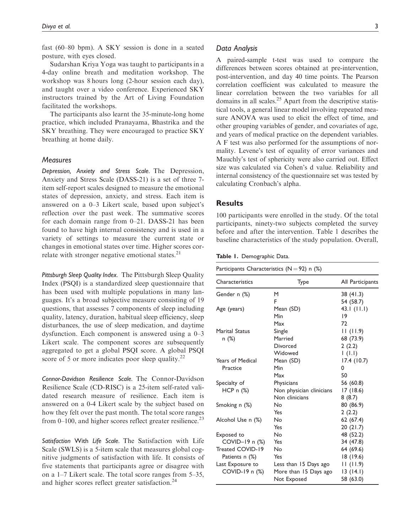fast (60–80 bpm). A SKY session is done in a seated posture, with eyes closed.

Sudarshan Kriya Yoga was taught to participants in a 4-day online breath and meditation workshop. The workshop was 8 hours long (2-hour session each day), and taught over a video conference. Experienced SKY instructors trained by the Art of Living Foundation facilitated the workshops.

The participants also learnt the 35-minute-long home practice, which included Pranayama, Bhastrika and the SKY breathing. They were encouraged to practice SKY breathing at home daily.

## **Measures**

Depression, Anxiety and Stress Scale. The Depression, Anxiety and Stress Scale (DASS-21) is a set of three 7 item self-report scales designed to measure the emotional states of depression, anxiety, and stress. Each item is answered on a 0–3 Likert scale, based upon subject's reflection over the past week. The summative scores for each domain range from 0–21. DASS-21 has been found to have high internal consistency and is used in a variety of settings to measure the current state or changes in emotional states over time. Higher scores correlate with stronger negative emotional states. $21$ 

Pittsburgh Sleep Quality Index. The Pittsburgh Sleep Quality Index (PSQI) is a standardized sleep questionnaire that has been used with multiple populations in many languages. It's a broad subjective measure consisting of 19 questions, that assesses 7 components of sleep including quality, latency, duration, habitual sleep efficiency, sleep disturbances, the use of sleep medication, and daytime dysfunction. Each component is answered using a 0–3 Likert scale. The component scores are subsequently aggregated to get a global PSQI score. A global PSQI score of 5 or more indicates poor sleep quality. $^{22}$ 

Connor-Davidson Resilience Scale. The Connor-Davidson Resilience Scale (CD-RISC) is a 25-item self-rated validated research measure of resilience. Each item is answered on a 0-4 Likert scale by the subject based on how they felt over the past month. The total score ranges from  $0-100$ , and higher scores reflect greater resilience.<sup>23</sup>

Satisfaction With Life Scale. The Satisfaction with Life Scale (SWLS) is a 5-item scale that measures global cognitive judgments of satisfaction with life. It consists of five statements that participants agree or disagree with on a 1–7 Likert scale. The total score ranges from 5–35, and higher scores reflect greater satisfaction.<sup>24</sup>

## Data Analysis

A paired-sample t-test was used to compare the differences between scores obtained at pre-intervention, post-intervention, and day 40 time points. The Pearson correlation coefficient was calculated to measure the linear correlation between the two variables for all domains in all scales.<sup>25</sup> Apart from the descriptive statistical tools, a general linear model involving repeated measure ANOVA was used to elicit the effect of time, and other grouping variables of gender, and covariates of age, and years of medical practice on the dependent variables. A F test was also performed for the assumptions of normality. Levene's test of equality of error variances and Mauchly's test of sphericity were also carried out. Effect size was calculated via Cohen's d value. Reliability and internal consistency of the questionnaire set was tested by calculating Cronbach's alpha.

## **Results**

100 participants were enrolled in the study. Of the total participants, ninety-two subjects completed the survey before and after the intervention. Table 1 describes the baseline characteristics of the study population. Overall,

|  |  | <b>Table 1.</b> Demographic Data. |  |
|--|--|-----------------------------------|--|
|--|--|-----------------------------------|--|

| Participants Characteristics (N $=$ 92) n (%) |  |  |
|-----------------------------------------------|--|--|
|-----------------------------------------------|--|--|

| Characteristics         | Type                     | All Participants |
|-------------------------|--------------------------|------------------|
| Gender n (%)            | М                        | 38 (41.3)        |
|                         | F                        | 54 (58.7)        |
| Age (years)             | Mean (SD)                | 43.1 $(11.1)$    |
|                         | Min                      | 19               |
|                         | Max                      | 72               |
| <b>Marital Status</b>   | Single                   | 11(11.9)         |
| n (%)                   | Married                  | 68 (73.9)        |
|                         | Divorced                 | 2(2.2)           |
|                         | Widowed                  | 1(1.1)           |
| <b>Years of Medical</b> | Mean (SD)                | 17.4(10.7)       |
| Practice                | Min                      | 0                |
|                         | Max                      | 50               |
| Specialty of            | Physicians               | 56 (60.8)        |
| HCP n (%)               | Non physician clinicians | 17(18.6)         |
|                         | Non clinicians           | 8(8.7)           |
| Smoking n (%)           | Nο                       | 80 (86.9)        |
|                         | Yes                      | 2(2.2)           |
| Alcohol Use n (%)       | No                       | 62(67.4)         |
|                         | Yes                      | 20(21.7)         |
| Exposed to              | No                       | 48 (52.2)        |
| COVID-19 n $(\%)$       | Yes                      | 34 (47.8)        |
| Treated COVID-19        | No                       | 64 (69.6)        |
| Patients n (%)          | Yes                      | 18 (19.6)        |
| Last Exposure to        | Less than 15 Days ago    | 11(11.9)         |
| COVID-19 n (%)          | More than 15 Days ago    | 13(14.1)         |
|                         | Not Exposed              | 58 (63.0)        |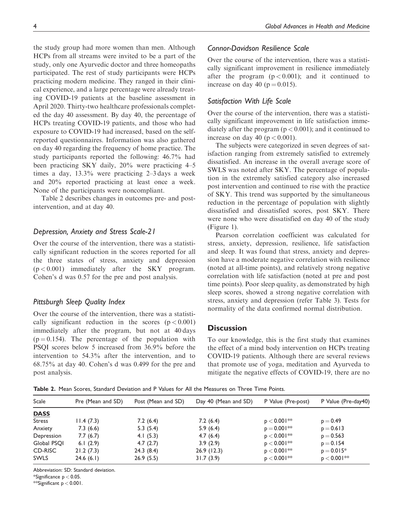the study group had more women than men. Although HCPs from all streams were invited to be a part of the study, only one Ayurvedic doctor and three homeopaths participated. The rest of study participants were HCPs practicing modern medicine. They ranged in their clinical experience, and a large percentage were already treating COVID-19 patients at the baseline assessment in April 2020. Thirty-two healthcare professionals completed the day 40 assessment. By day 40, the percentage of HCPs treating COVID-19 patients, and those who had exposure to COVID-19 had increased, based on the selfreported questionnaires. Information was also gathered on day 40 regarding the frequency of home practice. The study participants reported the following: 46.7% had been practicing SKY daily, 20% were practicing 4–5 times a day, 13.3% were practicing 2–3 days a week and 20% reported practicing at least once a week. None of the participants were noncompliant.

Table 2 describes changes in outcomes pre- and postintervention, and at day 40.

# Depression, Anxiety and Stress Scale-21

Over the course of the intervention, there was a statistically significant reduction in the scores reported for all the three states of stress, anxiety and depression  $(p < 0.001)$  immediately after the SKY program. Cohen's d was 0.57 for the pre and post analysis.

# Pittsburgh Sleep Quality Index

Over the course of the intervention, there was a statistically significant reduction in the scores  $(p < 0.001)$ immediately after the program, but not at 40 days  $(p = 0.154)$ . The percentage of the population with PSQI scores below 5 increased from 36.9% before the intervention to 54.3% after the intervention, and to 68.75% at day 40. Cohen's d was 0.499 for the pre and post analysis.

# Connor-Davidson Resilience Scale

Over the course of the intervention, there was a statistically significant improvement in resilience immediately after the program  $(p < 0.001)$ ; and it continued to increase on day 40 ( $p = 0.015$ ).

# Satisfaction With Life Scale

Over the course of the intervention, there was a statistically significant improvement in life satisfaction immediately after the program ( $p < 0.001$ ); and it continued to increase on day 40 ( $p < 0.001$ ).

The subjects were categorized in seven degrees of satisfaction ranging from extremely satisfied to extremely dissatisfied. An increase in the overall average score of SWLS was noted after SKY. The percentage of population in the extremely satisfied category also increased post intervention and continued to rise with the practice of SKY. This trend was supported by the simultaneous reduction in the percentage of population with slightly dissatisfied and dissatisfied scores, post SKY. There were none who were dissatisfied on day 40 of the study (Figure 1).

Pearson correlation coefficient was calculated for stress, anxiety, depression, resilience, life satisfaction and sleep. It was found that stress, anxiety and depression have a moderate negative correlation with resilience (noted at all-time points), and relatively strong negative correlation with life satisfaction (noted at pre and post time points). Poor sleep quality, as demonstrated by high sleep scores, showed a strong negative correlation with stress, anxiety and depression (refer Table 3). Tests for normality of the data confirmed normal distribution.

# **Discussion**

To our knowledge, this is the first study that examines the effect of a mind body intervention on HCPs treating COVID-19 patients. Although there are several reviews that promote use of yoga, meditation and Ayurveda to mitigate the negative effects of COVID-19, there are no

Table 2. Mean Scores, Standard Deviation and P Values for All the Measures on Three Time Points.

| <b>Scale</b>  | Pre (Mean and SD) | Post (Mean and SD) | Day 40 (Mean and SD) | P Value (Pre-post) | P Value (Pre-day40) |
|---------------|-------------------|--------------------|----------------------|--------------------|---------------------|
| <b>DASS</b>   |                   |                    |                      |                    |                     |
| <b>Stress</b> | 11.4(7.3)         | 7.2(6.4)           | 7.2(6.4)             | $p < 0.001**$      | $p = 0.49$          |
| Anxiety       | 7.3(6.6)          | 5.3(5.4)           | 5.9(6.4)             | $p = 0.001***$     | $p = 0.613$         |
| Depression    | 7.7(6.7)          | 4.1 $(5.3)$        | 4.7(6.4)             | $p < 0.001***$     | $p = 0.563$         |
| Global PSOI   | 6.1 $(2.9)$       | 4.7(2.7)           | 3.9(2.9)             | $p < 0.001***$     | $p = 0.154$         |
| CD-RISC       | 21.2(7.3)         | 24.3(8.4)          | 26.9(12.3)           | $p < 0.001***$     | $p = 0.015*$        |
| <b>SWLS</b>   | 24.6(6.1)         | 26.9(5.5)          | 31.7(3.9)            | $p < 0.001***$     | $p < 0.001**$       |

Abbreviation: SD: Standard deviation.

 $*$ Significance  $p < 0.05$ .

\*\*Significant p < 0.001.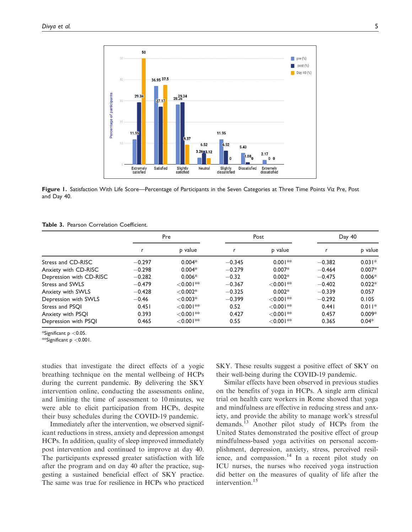

Figure 1. Satisfaction With Life Score—Percentage of Participants in the Seven Categories at Three Time Points Viz Pre, Post and Day 40.

| Table 3. Pearson Correlation Coefficient. |
|-------------------------------------------|
|-------------------------------------------|

|                         | Pre      |                         | Post     |             | Day 40   |          |
|-------------------------|----------|-------------------------|----------|-------------|----------|----------|
|                         |          | p value                 |          | p value     |          | p value  |
| Stress and CD-RISC      | $-0.297$ | $0.004*$                | $-0.345$ | $0.001**$   | $-0.382$ | $0.031*$ |
| Anxiety with CD-RISC    | $-0.298$ | $0.004*$                | $-0.279$ | $0.007*$    | $-0.464$ | $0.007*$ |
| Depression with CD-RISC | $-0.282$ | $0.006*$                | $-0.32$  | $0.002*$    | $-0.475$ | $0.006*$ |
| Stress and SWLS         | $-0.479$ | $< 0.001**$             | $-0.367$ | $<$ 0.001** | $-0.402$ | $0.022*$ |
| Anxiety with SWLS       | $-0.428$ | $< 0.002*$              | $-0.325$ | $0.002*$    | $-0.339$ | 0.057    |
| Depression with SWLS    | $-0.46$  | $< 0.003*$              | $-0.399$ | $< 0.001**$ | $-0.292$ | 0.105    |
| Stress and PSOI         | 0.451    | $< 0.001**$             | 0.52     | $< 0.001**$ | 0.441    | $0.011*$ |
| Anxiety with PSQI       | 0.393    | $< 0.001**$             | 0.427    | $< 0.001**$ | 0.457    | $0.009*$ |
| Depression with PSQI    | 0.465    | $<$ 0.001 $^{\ast\ast}$ | 0.55     | $< 0.001**$ | 0.365    | $0.04*$  |

\*Significant p <0.05.

\*\*Significant p <0.001.

studies that investigate the direct effects of a yogic breathing technique on the mental wellbeing of HCPs during the current pandemic. By delivering the SKY intervention online, conducting the assessments online, and limiting the time of assessment to 10 minutes, we were able to elicit participation from HCPs, despite their busy schedules during the COVID-19 pandemic.

Immediately after the intervention, we observed significant reductions in stress, anxiety and depression amongst HCPs. In addition, quality of sleep improved immediately post intervention and continued to improve at day 40. The participants expressed greater satisfaction with life after the program and on day 40 after the practice, suggesting a sustained beneficial effect of SKY practice. The same was true for resilience in HCPs who practiced SKY. These results suggest a positive effect of SKY on their well-being during the COVID-19 pandemic.

Similar effects have been observed in previous studies on the benefits of yoga in HCPs. A single arm clinical trial on health care workers in Rome showed that yoga and mindfulness are effective in reducing stress and anxiety, and provide the ability to manage work's stressful demands.13 Another pilot study of HCPs from the United States demonstrated the positive effect of group mindfulness-based yoga activities on personal accomplishment, depression, anxiety, stress, perceived resilience, and compassion. $14$  In a recent pilot study on ICU nurses, the nurses who received yoga instruction did better on the measures of quality of life after the intervention.<sup>15</sup>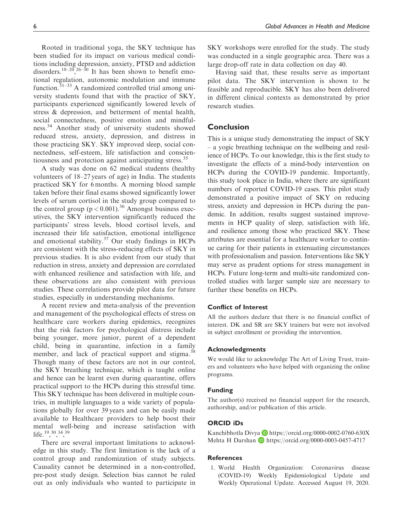Rooted in traditional yoga, the SKY technique has been studied for its impact on various medical conditions including depression, anxiety, PTSD and addiction disorders.<sup>18–20</sup>,<sup>26–30</sup> It has been shown to benefit emotional regulation, autonomic modulation and immune function. $31-33$  A randomized controlled trial among university students found that with the practice of SKY, participants experienced significantly lowered levels of stress & depression, and betterment of mental health, social connectedness, positive emotion and mindfulness.<sup>34</sup> Another study of university students showed reduced stress, anxiety, depression, and distress in those practicing SKY. SKY improved sleep, social connectedness, self-esteem, life satisfaction and conscientiousness and protection against anticipating stress.<sup>35</sup>

A study was done on 62 medical students (healthy volunteers of 18–27 years of age) in India. The students practiced SKY for 6 months. A morning blood sample taken before their final exams showed significantly lower levels of serum cortisol in the study group compared to the control group  $(p < 0.001)$ .<sup>36</sup> Amongst business executives, the SKY intervention significantly reduced the participants' stress levels, blood cortisol levels, and increased their life satisfaction, emotional intelligence and emotional stability.<sup>37</sup> Our study findings in HCPs are consistent with the stress-reducing effects of SKY in previous studies. It is also evident from our study that reduction in stress, anxiety and depression are correlated with enhanced resilience and satisfaction with life, and these observations are also consistent with previous studies. These correlations provide pilot data for future studies, especially in understanding mechanisms.

A recent review and meta-analysis of the prevention and management of the psychological effects of stress on healthcare care workers during epidemics, recognizes that the risk factors for psychological distress include being younger, more junior, parent of a dependent child, being in quarantine, infection in a family member, and lack of practical support and stigma.<sup>38</sup> Though many of these factors are not in our control, the SKY breathing technique, which is taught online and hence can be learnt even during quarantine, offers practical support to the HCPs during this stressful time. This SKY technique has been delivered in multiple countries, in multiple languages to a wide variety of populations globally for over 39 years and can be easily made available to Healthcare providers to help boost their mental well-being and increase satisfaction with life.<sup>19</sup>,<sup>30, 34</sup>,<sup>39</sup>

There are several important limitations to acknowledge in this study. The first limitation is the lack of a control group and randomization of study subjects. Causality cannot be determined in a non-controlled, pre-post study design. Selection bias cannot be ruled out as only individuals who wanted to participate in SKY workshops were enrolled for the study. The study was conducted in a single geographic area. There was a large drop-off rate in data collection on day 40.

Having said that, these results serve as important pilot data. The SKY intervention is shown to be feasible and reproducible. SKY has also been delivered in different clinical contexts as demonstrated by prior research studies.

# Conclusion

This is a unique study demonstrating the impact of SKY – a yogic breathing technique on the wellbeing and resilience of HCPs. To our knowledge, this is the first study to investigate the effects of a mind-body intervention on HCPs during the COVID-19 pandemic. Importantly, this study took place in India, where there are significant numbers of reported COVID-19 cases. This pilot study demonstrated a positive impact of SKY on reducing stress, anxiety and depression in HCPs during the pandemic. In addition, results suggest sustained improvements in HCP quality of sleep, satisfaction with life, and resilience among those who practiced SKY. These attributes are essential for a healthcare worker to continue caring for their patients in extenuating circumstances with professionalism and passion. Interventions like SKY may serve as prudent options for stress management in HCPs. Future long-term and multi-site randomized controlled studies with larger sample size are necessary to further these benefits on HCPs.

# Conflict of Interest

All the authors declare that there is no financial conflict of interest. DK and SR are SKY trainers but were not involved in subject enrollment or providing the intervention.

#### Acknowledgments

We would like to acknowledge The Art of Living Trust, trainers and volunteers who have helped with organizing the online programs.

#### Funding

The author(s) received no financial support for the research, authorship, and/or publication of this article.

#### ORCID iDs

Kanchibhotla Divya D <https://orcid.org/0000-0002-0760-630X> Mehta H Darshan D <https://orcid.org/0000-0003-0457-4717>

## **References**

1. World Health Organization: Coronavirus disease (COVID-19) Weekly Epidemiological Update and Weekly Operational Update. Accessed August 19, 2020.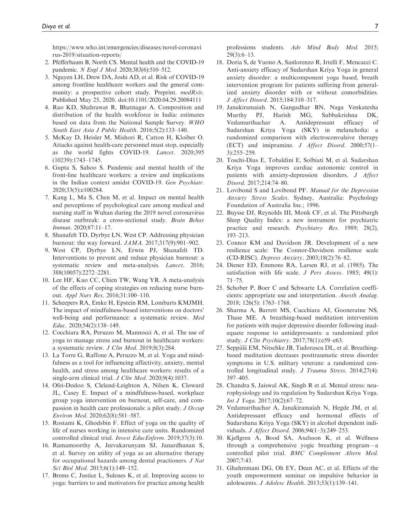[https://www.who.int/emergencies/diseases/novel-coronavi](https://www.who.int/emergencies/diseases/novel-coronavirus-2019/situation-reports/) [rus-2019/situation-reports/](https://www.who.int/emergencies/diseases/novel-coronavirus-2019/situation-reports/)

- 2. Pfefferbaum B, North CS. Mental health and the COVID-19 pandemic. N Engl J Med. 2020;383(6):510-512.
- 3. Nguyen LH, Drew DA, Joshi AD, et al. Risk of COVID-19 among frontline healthcare workers and the general community: a prospective cohort study. Preprint. medRxiv. Published May 25, 2020. doi:10.1101/2020.04.29.20084111
- 4. Rao KD, Shahrawat R, Bhatnagar A. Composition and distribution of the health workforce in India: estimates based on data from the National Sample Survey. WHO South East Asia J Public Health. 2016;5(2):133–140.
- 5. McKay D, Heisler M, Mishori R, Catton H, Kloiber O. Attacks against health-care personnel must stop, especially as the world fights COVID-19. Lancet. 2020;395 (10239):1743–1745.
- 6. Gupta S, Sahoo S. Pandemic and mental health of the front-line healthcare workers: a review and implications in the Indian context amidst COVID-19. Gen Psychiatr. 2020;33(5):e100284.
- 7. Kang L, Ma S, Chen M, et al. Impact on mental health and perceptions of psychological care among medical and nursing staff in Wuhan during the 2019 novel coronavirus disease outbreak: a cross-sectional study. Brain Behav Immun. 2020;87:11–17.
- 8. Shanafelt TD, Dyrbye LN, West CP. Addressing physician burnout: the way forward. JAMA. 2017;317(9):901–902.
- 9. West CP, Dyrbye LN, Erwin PJ, Shanafelt TD. Interventions to prevent and reduce physician burnout: a systematic review and meta-analysis. Lancet. 2016; 388(10057):2272–2281.
- 10. Lee HF, Kuo CC, Chien TW, Wang YR. A meta-analysis of the effects of coping strategies on reducing nurse burnout. Appl Nurs Res. 2016;31:100–110.
- 11. Scheepers RA, Emke H, Epstein RM, Lombarts KMJMH. The impact of mindfulness-based interventions on doctors' well-being and performance: a systematic review. Med Educ. 2020;54(2):138–149.
- 12. Cocchiara RA, Peruzzo M, Mannocci A, et al. The use of yoga to manage stress and burnout in healthcare workers: a systematic review. J Clin Med. 2019;8(3):284.
- 13. La Torre G, Raffone A, Peruzzo M, et al. Yoga and mindfulness as a tool for influencing affectivity, anxiety, mental health, and stress among healthcare workers: results of a single-arm clinical trial. *J Clin Med.* 2020;9(4):1037.
- 14. Ofei-Dodoo S, Cleland-Leighton A, Nilsen K, Cloward JL, Casey E. Impact of a mindfulness-based, workplace group yoga intervention on burnout, self-care, and compassion in health care professionals: a pilot study. J Occup Environ Med. 2020;62(8):581–587.
- 15. Rostami K, Ghodsbin F. Effect of yoga on the quality of life of nurses working in intensive care units. Randomized controlled clinical trial. Invest EducEnferm. 2019;37(3):10.
- 16. Ramamoorthy A, Jeevakarunyam SJ, Janardhanan S, et al. Survey on utility of yoga as an alternative therapy for occupational hazards among dental practioners. J Nat Sci Biol Med. 2015;6(1):149–152.
- 17. Brems C, Justice L, Sulenes K, et al. Improving access to yoga: barriers to and motivators for practice among health

professions students. Adv Mind Body Med. 2015; 29(3):6–13.

- 18. Doria S, de Vuono A, Sanlorenzo R, Irtelli F, Mencacci C. Anti-anxiety efficacy of Sudarshan Kriya Yoga in general anxiety disorder: a multicomponent yoga based, breath intervention program for patients suffering from generalized anxiety disorder with or without comorbidities. J Affect Disord. 2015;184:310–317.
- 19. Janakiramaiah N, Gangadhar BN, Naga Venkatesha Murthy PJ, Harish MG, Subbakrishna DK, Vedamurthachar A. Antidepressant efficacy of Sudarshan Kriya Yoga (SKY) in melancholia: a randomized comparison with electroconvulsive therapy (ECT) and imipramine. J Affect Disord. 2000;57(1– 3):255–259.
- 20. Toschi-Dias E, Tobaldini E, Solbiati M, et al. Sudarshan Kriya Yoga improves cardiac autonomic control in patients with anxiety-depression disorders. J Affect Disord. 2017;214:74–80.
- 21. Lovibond S and Lovibond PF. Manual for the Depression Anxiety Stress Scales. Sydney, Australia: Psychology Foundation of Australia Inc.; 1996.
- 22. Buysse DJ, Reynolds III, Monk CF, et al. The Pittsburgh Sleep Quality Index: a new instrument for psychiatric practice and research. Psychiatry Res. 1989; 28(2), 193–213.
- 23. Connor KM and Davidson JR. Development of a new resilience scale: The Connor-Davidson resilience scale (CD-RISC). Depress Anxiety. 2003;18(2):76–82.
- 24. Diener ED, Emmons RA, Larsen RJ, et al. (1985). The satisfaction with life scale. J Pers Assess. 1985; 49(1): 71–75.
- 25. Schober P, Boer C and Schwarte LA. Correlation coefficients: appropriate use and interpretation. Anesth Analag. 2018; 126(5): 1763–1768.
- 26. Sharma A, Barrett MS, Cucchiara AJ, Gooneratne NS, Thase ME. A breathing-based meditation intervention for patients with major depressive disorder following inadequate response to antidepressants: a randomized pilot study. J Clin Psychiatry. 2017;78(1):e59–e63.
- 27. Seppälä EM, Nitschke JB, Tudorascu DL, et al. Breathingbased meditation decreases posttraumatic stress disorder symptoms in U.S. military veterans: a randomized controlled longitudinal study. J Trauma Stress. 2014;27(4): 397–405.
- 28. Chandra S, Jaiswal AK, Singh R et al. Mental stress: neurophysiology and its regulation by Sudarshan Kriya Yoga. Int J Yoga. 2017;10(2):67–72.
- 29. Vedamurthachar A, Janakiramaiah N, Hegde JM, et al. Antidepressant efficacy and hormonal effects of Sudarshana Kriya Yoga (SKY) in alcohol dependent individuals. J Affect Disord. 2006;94(1–3):249–253.
- 30. Kjellgren A, Bood SA, Axelsson K, et al. Wellness through a comprehensive yogic breathing program—a controlled pilot trial. BMC Complement Altern Med. 2007;7:43.
- 31. Ghahremani DG, Oh EY, Dean AC, et al. Effects of the youth empowerment seminar on impulsive behavior in adolescents. J Adolesc Health. 2013;53(1):139–141.